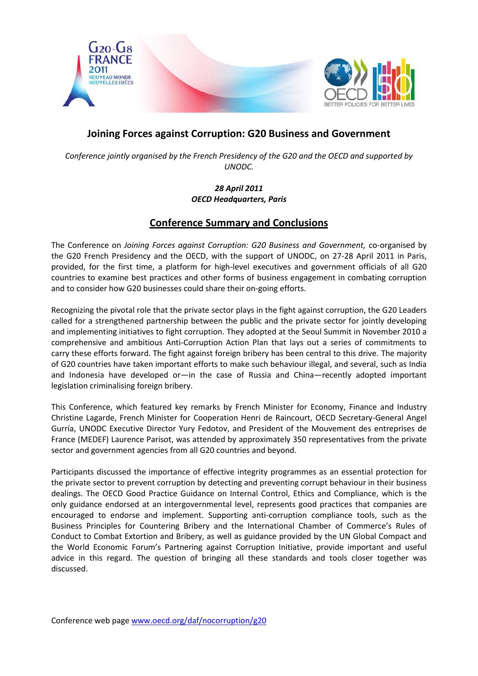

## **Joining Forces against Corruption: G20 Business and Government**

*Conference jointly organised by the French Presidency of the G20 and the OECD and supported by UNODC.*

> *28 April 2011 OECD Headquarters, Paris*

## **Conference Summary and Conclusions**

The Conference on *Joining Forces against Corruption: G20 Business and Government,* co-organised by the G20 French Presidency and the OECD, with the support of UNODC, on 27-28 April 2011 in Paris, provided, for the first time, a platform for high-level executives and government officials of all G20 countries to examine best practices and other forms of business engagement in combating corruption and to consider how G20 businesses could share their on-going efforts.

Recognizing the pivotal role that the private sector plays in the fight against corruption, the G20 Leaders called for a strengthened partnership between the public and the private sector for jointly developing and implementing initiatives to fight corruption. They adopted at the Seoul Summit in November 2010 a comprehensive and ambitious Anti-Corruption Action Plan that lays out a series of commitments to carry these efforts forward. The fight against foreign bribery has been central to this drive. The majority of G20 countries have taken important efforts to make such behaviour illegal, and several, such as India and Indonesia have developed or—in the case of Russia and China—recently adopted important legislation criminalising foreign bribery.

This Conference, which featured key remarks by French Minister for Economy, Finance and Industry Christine Lagarde, French Minister for Cooperation Henri de Raincourt, OECD Secretary-General Angel Gurría, UNODC Executive Director Yury Fedotov, and President of the Mouvement des entreprises de France (MEDEF) Laurence Parisot, was attended by approximately 350 representatives from the private sector and government agencies from all G20 countries and beyond.

Participants discussed the importance of effective integrity programmes as an essential protection for the private sector to prevent corruption by detecting and preventing corrupt behaviour in their business dealings. The OECD Good Practice Guidance on Internal Control, Ethics and Compliance, which is the only guidance endorsed at an intergovernmental level, represents good practices that companies are encouraged to endorse and implement. Supporting anti-corruption compliance tools, such as the Business Principles for Countering Bribery and the International Chamber of Commerce's Rules of Conduct to Combat Extortion and Bribery, as well as guidance provided by the UN Global Compact and the World Economic Forum's Partnering against Corruption Initiative, provide important and useful advice in this regard. The question of bringing all these standards and tools closer together was discussed.